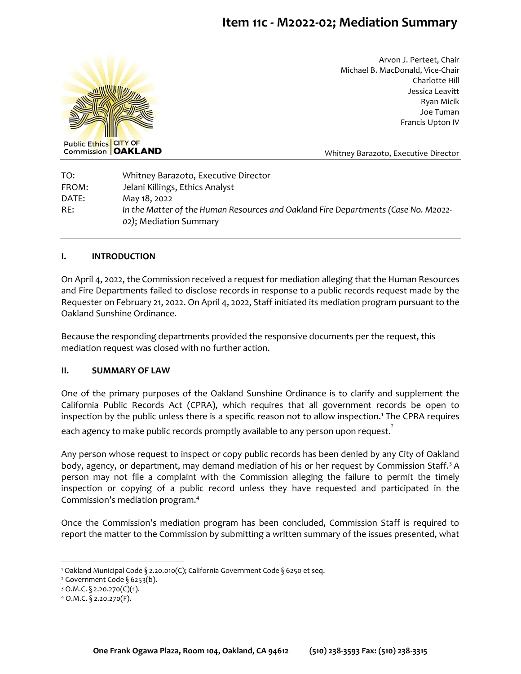# **Item 11c - M2022-02; Mediation Summary**



Arvon J. Perteet, Chair Michael B. MacDonald, Vice-Chair Charlotte Hill Jessica Leavitt Ryan Micik Joe Tuman Francis Upton IV

Whitney Barazoto, Executive Director

TO: Whitney Barazoto, Executive Director FROM: Jelani Killings, Ethics Analyst DATE: May 18, 2022 RE: *In the Matter of the Human Resources and Oakland Fire Departments (Case No. M2022- 02)*; Mediation Summary

#### **I. INTRODUCTION**

On April 4, 2022, the Commission received a request for mediation alleging that the Human Resources and Fire Departments failed to disclose records in response to a public records request made by the Requester on February 21, 2022. On April 4, 2022, Staff initiated its mediation program pursuant to the Oakland Sunshine Ordinance.

Because the responding departments provided the responsive documents per the request, this mediation request was closed with no further action.

#### **II. SUMMARY OF LAW**

One of the primary purposes of the Oakland Sunshine Ordinance is to clarify and supplement the California Public Records Act (CPRA), which requires that all government records be open to inspection by the public unless there is a specific reason not to allow inspection.<sup>1</sup> The CPRA requires

each agency to make public records promptly available to any person upon request. $\mathring{\cdot}$ 

Any person whose request to inspect or copy public records has been denied by any City of Oakland body, agency, or department, may demand mediation of his or her request by Commission Staff.<sup>3</sup> A person may not file a complaint with the Commission alleging the failure to permit the timely inspection or copying of a public record unless they have requested and participated in the Commission's mediation program.<sup>4</sup>

Once the Commission's mediation program has been concluded, Commission Staff is required to report the matter to the Commission by submitting a written summary of the issues presented, what

<sup>1</sup> Oakland Municipal Code § 2.20.010(C); California Government Code § 6250 et seq.

<sup>&</sup>lt;sup>2</sup> Government Code § 6253(b).

 $3$  O.M.C. § 2.20.270(C)(1).

<sup>4</sup> O.M.C. § 2.20.270(F).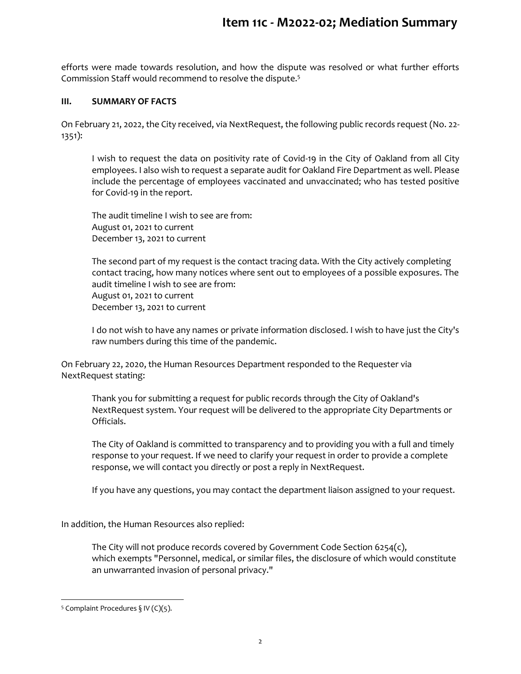efforts were made towards resolution, and how the dispute was resolved or what further efforts Commission Staff would recommend to resolve the dispute.<sup>5</sup>

### **III. SUMMARY OF FACTS**

On February 21, 2022, the City received, via NextRequest, the following public records request (No. 22- 1351):

I wish to request the data on positivity rate of Covid-19 in the City of Oakland from all City employees. I also wish to request a separate audit for Oakland Fire Department as well. Please include the percentage of employees vaccinated and unvaccinated; who has tested positive for Covid-19 in the report.

The audit timeline I wish to see are from: August 01, 2021 to current December 13, 2021 to current

The second part of my request is the contact tracing data. With the City actively completing contact tracing, how many notices where sent out to employees of a possible exposures. The audit timeline I wish to see are from: August 01, 2021 to current December 13, 2021 to current

I do not wish to have any names or private information disclosed. I wish to have just the City's raw numbers during this time of the pandemic.

On February 22, 2020, the Human Resources Department responded to the Requester via NextRequest stating:

Thank you for submitting a request for public records through the City of Oakland's NextRequest system. Your request will be delivered to the appropriate City Departments or Officials.

The City of Oakland is committed to transparency and to providing you with a full and timely response to your request. If we need to clarify your request in order to provide a complete response, we will contact you directly or post a reply in NextRequest.

If you have any questions, you may contact the department liaison assigned to your request.

In addition, the Human Resources also replied:

The City will not produce records covered by Government Code Section 6254(c), which exempts "Personnel, medical, or similar files, the disclosure of which would constitute an unwarranted invasion of personal privacy."

<sup>&</sup>lt;sup>5</sup> Complaint Procedures  $\S$  IV (C)(5).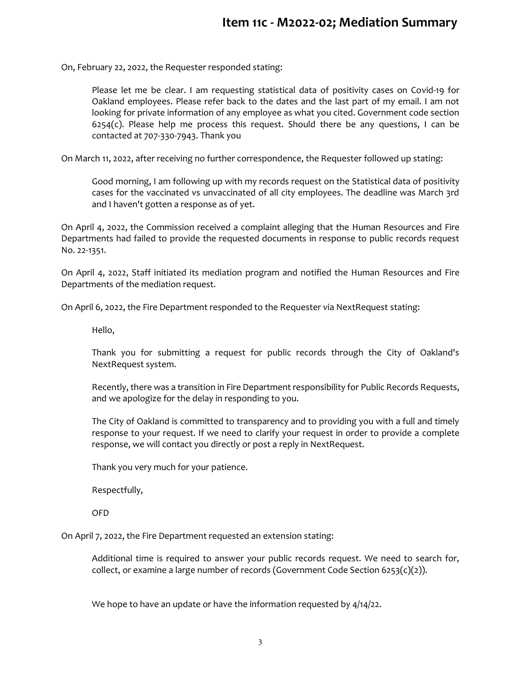On, February 22, 2022, the Requester responded stating:

Please let me be clear. I am requesting statistical data of positivity cases on Covid-19 for Oakland employees. Please refer back to the dates and the last part of my email. I am not looking for private information of any employee as what you cited. Government code section  $6254(c)$ . Please help me process this request. Should there be any questions, I can be contacted at 707-330-7943. Thank you

On March 11, 2022, after receiving no further correspondence, the Requester followed up stating:

Good morning, I am following up with my records request on the Statistical data of positivity cases for the vaccinated vs unvaccinated of all city employees. The deadline was March 3rd and I haven't gotten a response as of yet.

On April 4, 2022, the Commission received a complaint alleging that the Human Resources and Fire Departments had failed to provide the requested documents in response to public records request No. 22-1351.

On April 4, 2022, Staff initiated its mediation program and notified the Human Resources and Fire Departments of the mediation request.

On April 6, 2022, the Fire Department responded to the Requester via NextRequest stating:

Hello,

Thank you for submitting a request for public records through the City of Oakland's NextRequest system.

Recently, there was a transition in Fire Department responsibility for Public Records Requests, and we apologize for the delay in responding to you.

The City of Oakland is committed to transparency and to providing you with a full and timely response to your request. If we need to clarify your request in order to provide a complete response, we will contact you directly or post a reply in NextRequest.

Thank you very much for your patience.

Respectfully,

OFD

On April 7, 2022, the Fire Department requested an extension stating:

Additional time is required to answer your public records request. We need to search for, collect, or examine a large number of records (Government Code Section 6253(c)(2)).

We hope to have an update or have the information requested by  $4/14/22$ .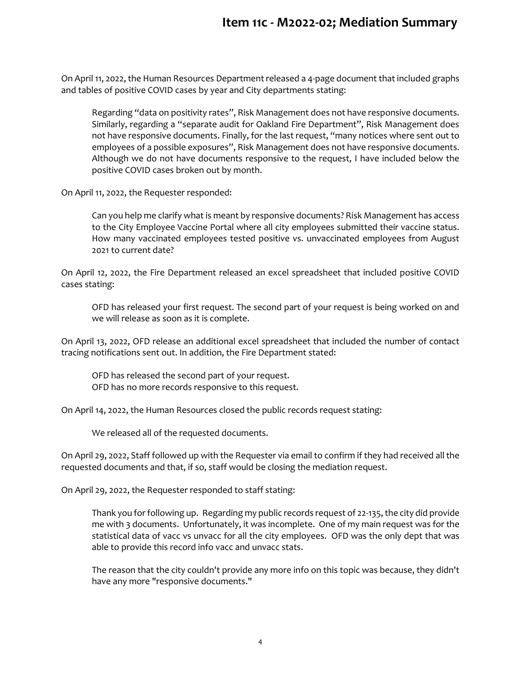## **Item 11c - M2022-02; Mediation Summary**

On April 11, 2022, the Human Resources Department released a 4-page document that included graphs and tables of positive COVID cases by year and City departments stating:

Regarding "data on positivity rates", Risk Management does not have responsive documents. Similarly, regarding a "separate audit for Oakland Fire Department", Risk Management does not have responsive documents. Finally, for the last request, "many notices where sent out to employees of a possible exposures", Risk Management does not have responsive documents. Although we do not have documents responsive to the request, I have included below the positive COVID cases broken out by month.

On April 11, 2022, the Requester responded:

Can you help me clarify what is meant by responsive documents? Risk Management has access to the City Employee Vaccine Portal where all city employees submitted their vaccine status. How many vaccinated employees tested positive vs. unvaccinated employees from August 2021 to current date?

On April 12, 2022, the Fire Department released an excel spreadsheet that included positive COVID cases stating:

OFD has released your first request. The second part of your request is being worked on and we will release as soon as it is complete.

On April 13, 2022, OFD release an additional excel spreadsheet that included the number of contact tracing notifications sent out. In addition, the Fire Department stated:

OFD has released the second part of your request. OFD has no more records responsive to this request.

On April 14, 2022, the Human Resources closed the public records request stating:

We released all of the requested documents.

On April 29, 2022, Staff followed up with the Requester via email to confirm if they had received all the requested documents and that, if so, staff would be closing the mediation request.

On April 29, 2022, the Requester responded to staff stating:

Thank you for following up. Regarding my public records request of 22-135, the city did provide me with 3 documents. Unfortunately, it was incomplete. One of my main request was for the statistical data of vacc vs unvacc for all the city employees. OFD was the only dept that was able to provide this record info vacc and unvacc stats.

The reason that the city couldn't provide any more info on this topic was because, they didn't have any more "responsive documents."